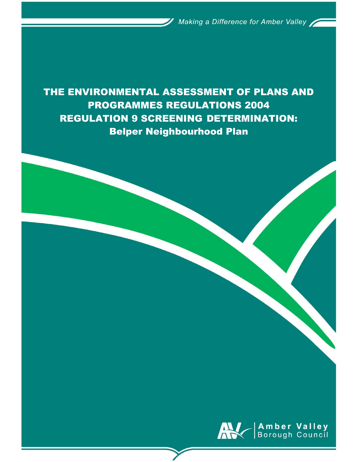THE ENVIRONMENTAL ASSESSMENT OF PLANS AND PROGRAMMES REGULATIONS 2004 REGULATION 9 SCREENING DETERMINATION: Belper Neighbourhood Plan

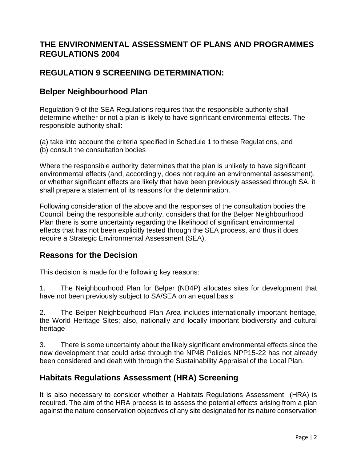# **THE ENVIRONMENTAL ASSESSMENT OF PLANS AND PROGRAMMES REGULATIONS 2004**

# **REGULATION 9 SCREENING DETERMINATION:**

## **Belper Neighbourhood Plan**

Regulation 9 of the SEA Regulations requires that the responsible authority shall determine whether or not a plan is likely to have significant environmental effects. The responsible authority shall:

(a) take into account the criteria specified in Schedule 1 to these Regulations, and (b) consult the consultation bodies

Where the responsible authority determines that the plan is unlikely to have significant environmental effects (and, accordingly, does not require an environmental assessment), or whether significant effects are likely that have been previously assessed through SA, it shall prepare a statement of its reasons for the determination.

Following consideration of the above and the responses of the consultation bodies the Council, being the responsible authority, considers that for the Belper Neighbourhood Plan there is some uncertainty regarding the likelihood of significant environmental effects that has not been explicitly tested through the SEA process, and thus it does require a Strategic Environmental Assessment (SEA).

## **Reasons for the Decision**

This decision is made for the following key reasons:

1. The Neighbourhood Plan for Belper (NB4P) allocates sites for development that have not been previously subject to SA/SEA on an equal basis

2. The Belper Neighbourhood Plan Area includes internationally important heritage, the World Heritage Sites; also, nationally and locally important biodiversity and cultural heritage

3. There is some uncertainty about the likely significant environmental effects since the new development that could arise through the NP4B Policies NPP15-22 has not already been considered and dealt with through the Sustainability Appraisal of the Local Plan.

## **Habitats Regulations Assessment (HRA) Screening**

It is also necessary to consider whether a Habitats Regulations Assessment (HRA) is required. The aim of the HRA process is to assess the potential effects arising from a plan against the nature conservation objectives of any site designated for its nature conservation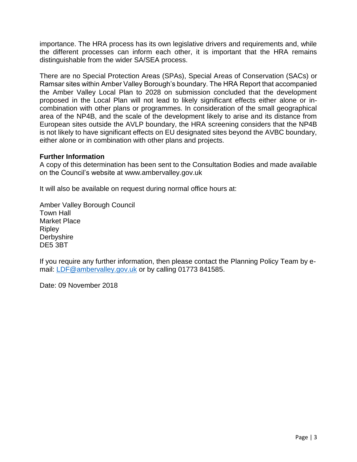importance. The HRA process has its own legislative drivers and requirements and, while the different processes can inform each other, it is important that the HRA remains distinguishable from the wider SA/SEA process.

There are no Special Protection Areas (SPAs), Special Areas of Conservation (SACs) or Ramsar sites within Amber Valley Borough's boundary. The HRA Report that accompanied the Amber Valley Local Plan to 2028 on submission concluded that the development proposed in the Local Plan will not lead to likely significant effects either alone or incombination with other plans or programmes. In consideration of the small geographical area of the NP4B, and the scale of the development likely to arise and its distance from European sites outside the AVLP boundary, the HRA screening considers that the NP4B is not likely to have significant effects on EU designated sites beyond the AVBC boundary, either alone or in combination with other plans and projects.

#### **Further Information**

A copy of this determination has been sent to the Consultation Bodies and made available on the Council's website at [www.ambervalley.gov.uk](http://www.ambervalley.gov.uk/) 

It will also be available on request during normal office hours at:

Amber Valley Borough Council Town Hall Market Place **Ripley** Derbyshire DE5 3BT

If you require any further information, then please contact the Planning Policy Team by e-mail: [LDF@ambervalley.gov.uk](mailto:LDF@ambervalley.gov.uk) or by calling 01773 841585.

Date: 09 November 2018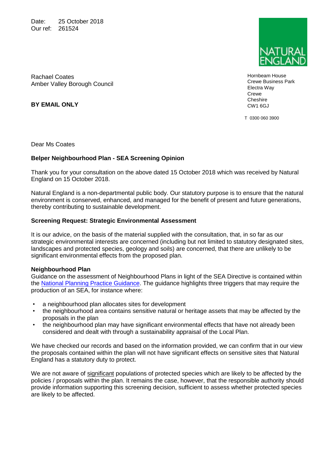Date: 25 October 2018 Our ref: 261524



Hornbeam House Crewe Business Park Electra Way Crewe **Cheshire** CW1 6GJ

T 0300 060 3900

Rachael Coates Amber Valley Borough Council

**BY EMAIL ONLY**

Dear Ms Coates

#### **Belper Neighbourhood Plan - SEA Screening Opinion**

Thank you for your consultation on the above dated 15 October 2018 which was received by Natural England on 15 October 2018.

Natural England is a non-departmental public body. Our statutory purpose is to ensure that the natural environment is conserved, enhanced, and managed for the benefit of present and future generations, thereby contributing to sustainable development.

#### **Screening Request: Strategic Environmental Assessment**

It is our advice, on the basis of the material supplied with the consultation, that, in so far as our strategic environmental interests are concerned (including but not limited to statutory designated sites, landscapes and protected species, geology and soils) are concerned, that there are unlikely to be significant environmental effects from the proposed plan.

#### **Neighbourhood Plan**

Guidance on the assessment of Neighbourhood Plans in light of the SEA Directive is contained within the [National Planning Practice Guidance.](https://www.gov.uk/guidance/strategic-environmental-assessment-and-sustainability-appraisal) The guidance highlights three triggers that may require the production of an SEA, for instance where:

- a neighbourhood plan allocates sites for development
- the neighbourhood area contains sensitive natural or heritage assets that may be affected by the proposals in the plan
- the neighbourhood plan may have significant environmental effects that have not already been considered and dealt with through a sustainability appraisal of the Local Plan.

We have checked our records and based on the information provided, we can confirm that in our view the proposals contained within the plan will not have significant effects on sensitive sites that Natural England has a statutory duty to protect.

We are not aware of significant populations of protected species which are likely to be affected by the policies / proposals within the plan. It remains the case, however, that the responsible authority should provide information supporting this screening decision, sufficient to assess whether protected species are likely to be affected.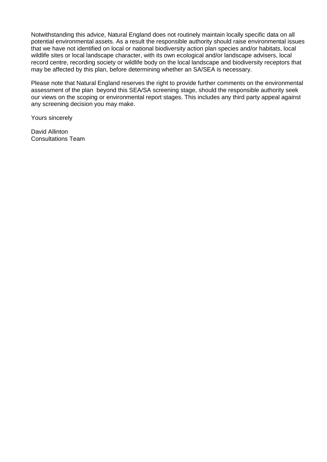Notwithstanding this advice, Natural England does not routinely maintain locally specific data on all potential environmental assets. As a result the responsible authority should raise environmental issues that we have not identified on local or national biodiversity action plan species and/or habitats, local wildlife sites or local landscape character, with its own ecological and/or landscape advisers, local record centre, recording society or wildlife body on the local landscape and biodiversity receptors that may be affected by this plan, before determining whether an SA/SEA is necessary.

Please note that Natural England reserves the right to provide further comments on the environmental assessment of the plan beyond this SEA/SA screening stage, should the responsible authority seek our views on the scoping or environmental report stages. This includes any third party appeal against any screening decision you may make.

Yours sincerely

David Allinton Consultations Team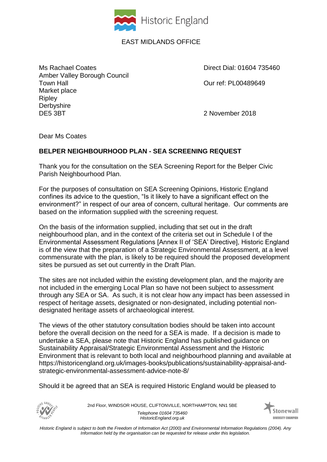

## EAST MIDLANDS OFFICE

Ms Rachael Coates **Direct Dial: 01604 735460** Amber Valley Borough Council Town Hall Our ref: PL00489649 Market place **Ripley Derbyshire** DE5 3BT 2 November 2018

Dear Ms Coates

## **BELPER NEIGHBOURHOOD PLAN - SEA SCREENING REQUEST**

Thank you for the consultation on the SEA Screening Report for the Belper Civic Parish Neighbourhood Plan.

For the purposes of consultation on SEA Screening Opinions, Historic England confines its advice to the question, "Is it likely to have a significant effect on the environment?" in respect of our area of concern, cultural heritage. Our comments are based on the information supplied with the screening request.

On the basis of the information supplied, including that set out in the draft neighbourhood plan, and in the context of the criteria set out in Schedule I of the Environmental Assessment Regulations [Annex II of 'SEA' Directive], Historic England is of the view that the preparation of a Strategic Environmental Assessment, at a level commensurate with the plan, is likely to be required should the proposed development sites be pursued as set out currently in the Draft Plan.

The sites are not included within the existing development plan, and the majority are not included in the emerging Local Plan so have not been subject to assessment through any SEA or SA. As such, it is not clear how any impact has been assessed in respect of heritage assets, designated or non-designated, including potential nondesignated heritage assets of archaeological interest.

The views of the other statutory consultation bodies should be taken into account before the overall decision on the need for a SEA is made. If a decision is made to undertake a SEA, please note that Historic England has published guidance on Sustainability Appraisal/Strategic Environmental Assessment and the Historic Environment that is relevant to both local and neighbourhood planning and available at https://historicengland.org.uk/images-books/publications/sustainability-appraisal-andstrategic-environmental-assessment-advice-note-8/

Should it be agreed that an SEA is required Historic England would be pleased to



2nd Floor, WINDSOR HOUSE, CLIFTONVILLE, NORTHAMPTON, NN1 5BE *Telephone 01604 735460 HistoricEngland.org.uk*



*Historic England is subject to both the Freedom of Information Act (2000) and Environmental Information Regulations (2004). Any Information held by the organisation can be requested for release under this legislation.*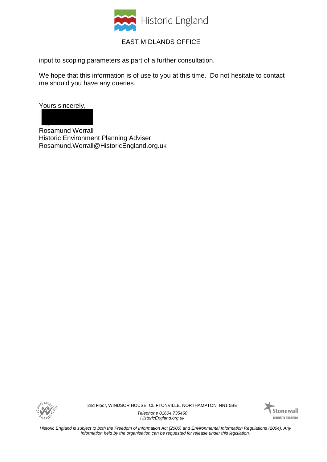

## EAST MIDLANDS OFFICE

input to scoping parameters as part of a further consultation.

We hope that this information is of use to you at this time. Do not hesitate to contact me should you have any queries.

Yours sincerely,

Rosamund Worrall Historic Environment Planning Adviser Rosamund.Worrall@HistoricEngland.org.uk



2nd Floor, WINDSOR HOUSE, CLIFTONVILLE, NORTHAMPTON, NN1 5BE

*Telephone 01604 735460 HistoricEngland.org.uk*



*Historic England is subject to both the Freedom of Information Act (2000) and Environmental Information Regulations (2004). Any Information held by the organisation can be requested for release under this legislation.*